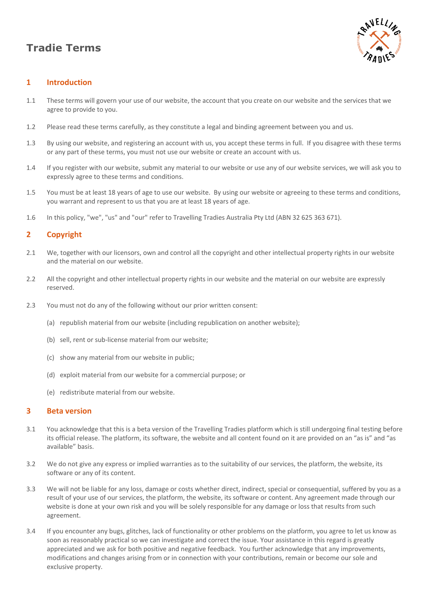# **Tradie Terms**



# **1 Introduction**

- 1.1 These terms will govern your use of our website, the account that you create on our website and the services that we agree to provide to you.
- 1.2 Please read these terms carefully, as they constitute a legal and binding agreement between you and us.
- 1.3 By using our website, and registering an account with us, you accept these terms in full. If you disagree with these terms or any part of these terms, you must not use our website or create an account with us.
- 1.4 If you register with our website, submit any material to our website or use any of our website services, we will ask you to expressly agree to these terms and conditions.
- 1.5 You must be at least 18 years of age to use our website. By using our website or agreeing to these terms and conditions, you warrant and represent to us that you are at least 18 years of age.
- 1.6 In this policy, "we", "us" and "our" refer to Travelling Tradies Australia Pty Ltd (ABN 32 625 363 671).

## **2 Copyright**

- 2.1 We, together with our licensors, own and control all the copyright and other intellectual property rights in our website and the material on our website.
- 2.2 All the copyright and other intellectual property rights in our website and the material on our website are expressly reserved.
- 2.3 You must not do any of the following without our prior written consent:
	- (a) republish material from our website (including republication on another website);
	- (b) sell, rent or sub-license material from our website;
	- (c) show any material from our website in public;
	- (d) exploit material from our website for a commercial purpose; or
	- (e) redistribute material from our website.

#### **3 Beta version**

- 3.1 You acknowledge that this is a beta version of the Travelling Tradies platform which is still undergoing final testing before its official release. The platform, its software, the website and all content found on it are provided on an "as is" and "as available" basis.
- 3.2 We do not give any express or implied warranties as to the suitability of our services, the platform, the website, its software or any of its content.
- 3.3 We will not be liable for any loss, damage or costs whether direct, indirect, special or consequential, suffered by you as a result of your use of our services, the platform, the website, its software or content. Any agreement made through our website is done at your own risk and you will be solely responsible for any damage or loss that results from such agreement.
- 3.4 If you encounter any bugs, glitches, lack of functionality or other problems on the platform, you agree to let us know as soon as reasonably practical so we can investigate and correct the issue. Your assistance in this regard is greatly appreciated and we ask for both positive and negative feedback. You further acknowledge that any improvements, modifications and changes arising from or in connection with your contributions, remain or become our sole and exclusive property.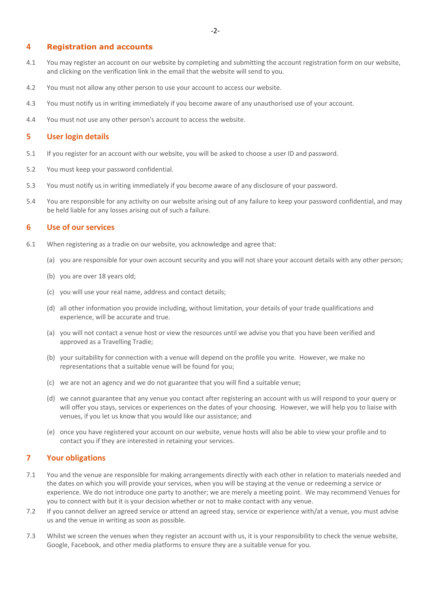## **4 Registration and accounts**

- 4.1 You may register an account on our website by completing and submitting the account registration form on our website, and clicking on the verification link in the email that the website will send to you.
- 4.2 You must not allow any other person to use your account to access our website.
- 4.3 You must notify us in writing immediately if you become aware of any unauthorised use of your account.
- 4.4 You must not use any other person's account to access the website.

## **5 User login details**

- 5.1 If you register for an account with our website, you will be asked to choose a user ID and password.
- 5.2 You must keep your password confidential.
- 5.3 You must notify us in writing immediately if you become aware of any disclosure of your password.
- 5.4 You are responsible for any activity on our website arising out of any failure to keep your password confidential, and may be held liable for any losses arising out of such a failure.

## **6 Use of our services**

- 6.1 When registering as a tradie on our website, you acknowledge and agree that:
	- (a) you are responsible for your own account security and you will not share your account details with any other person;
	- (b) you are over 18 years old;
	- (c) you will use your real name, address and contact details;
	- (d) all other information you provide including, without limitation, your details of your trade qualifications and experience, will be accurate and true.
	- (a) you will not contact a venue host or view the resources until we advise you that you have been verified and approved as a Travelling Tradie;
	- (b) your suitability for connection with a venue will depend on the profile you write. However, we make no representations that a suitable venue will be found for you;
	- (c) we are not an agency and we do not guarantee that you will find a suitable venue;
	- (d) we cannot guarantee that any venue you contact after registering an account with us will respond to your query or will offer you stays, services or experiences on the dates of your choosing. However, we will help you to liaise with venues, if you let us know that you would like our assistance; and
	- (e) once you have registered your account on our website, venue hosts will also be able to view your profile and to contact you if they are interested in retaining your services.

## **7 Your obligations**

- 7.1 You and the venue are responsible for making arrangements directly with each other in relation to materials needed and the dates on which you will provide your services, when you will be staying at the venue or redeeming a service or experience. We do not introduce one party to another; we are merely a meeting point. We may recommend Venues for you to connect with but it is your decision whether or not to make contact with any venue.
- 7.2 If you cannot deliver an agreed service or attend an agreed stay, service or experience with/at a venue, you must advise us and the venue in writing as soon as possible.
- 7.3 Whilst we screen the venues when they register an account with us, it is your responsibility to check the venue website, Google, Facebook, and other media platforms to ensure they are a suitable venue for you.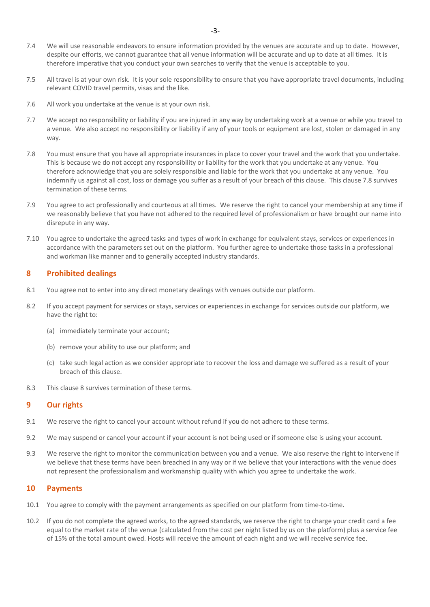- 7.4 We will use reasonable endeavors to ensure information provided by the venues are accurate and up to date. However, despite our efforts, we cannot guarantee that all venue information will be accurate and up to date at all times. It is therefore imperative that you conduct your own searches to verify that the venue is acceptable to you.
- 7.5 All travel is at your own risk. It is your sole responsibility to ensure that you have appropriate travel documents, including relevant COVID travel permits, visas and the like.
- 7.6 All work you undertake at the venue is at your own risk.
- 7.7 We accept no responsibility or liability if you are injured in any way by undertaking work at a venue or while you travel to a venue. We also accept no responsibility or liability if any of your tools or equipment are lost, stolen or damaged in any way.
- 7.8 You must ensure that you have all appropriate insurances in place to cover your travel and the work that you undertake. This is because we do not accept any responsibility or liability for the work that you undertake at any venue. You therefore acknowledge that you are solely responsible and liable for the work that you undertake at any venue. You indemnify us against all cost, loss or damage you suffer as a result of your breach of this clause. This clause 7.8 survives termination of these terms.
- 7.9 You agree to act professionally and courteous at all times. We reserve the right to cancel your membership at any time if we reasonably believe that you have not adhered to the required level of professionalism or have brought our name into disrepute in any way.
- 7.10 You agree to undertake the agreed tasks and types of work in exchange for equivalent stays, services or experiences in accordance with the parameters set out on the platform. You further agree to undertake those tasks in a professional and workman like manner and to generally accepted industry standards.

## **8 Prohibited dealings**

- 8.1 You agree not to enter into any direct monetary dealings with venues outside our platform.
- 8.2 If you accept payment for services or stays, services or experiences in exchange for services outside our platform, we have the right to:
	- (a) immediately terminate your account;
	- (b) remove your ability to use our platform; and
	- (c) take such legal action as we consider appropriate to recover the loss and damage we suffered as a result of your breach of this clause.
- 8.3 This clause 8 survives termination of these terms.

#### **9 Our rights**

- 9.1 We reserve the right to cancel your account without refund if you do not adhere to these terms.
- 9.2 We may suspend or cancel your account if your account is not being used or if someone else is using your account.
- 9.3 We reserve the right to monitor the communication between you and a venue. We also reserve the right to intervene if we believe that these terms have been breached in any way or if we believe that your interactions with the venue does not represent the professionalism and workmanship quality with which you agree to undertake the work.

## **10 Payments**

- 10.1 You agree to comply with the payment arrangements as specified on our platform from time-to-time.
- 10.2 If you do not complete the agreed works, to the agreed standards, we reserve the right to charge your credit card a fee equal to the market rate of the venue (calculated from the cost per night listed by us on the platform) plus a service fee of 15% of the total amount owed. Hosts will receive the amount of each night and we will receive service fee.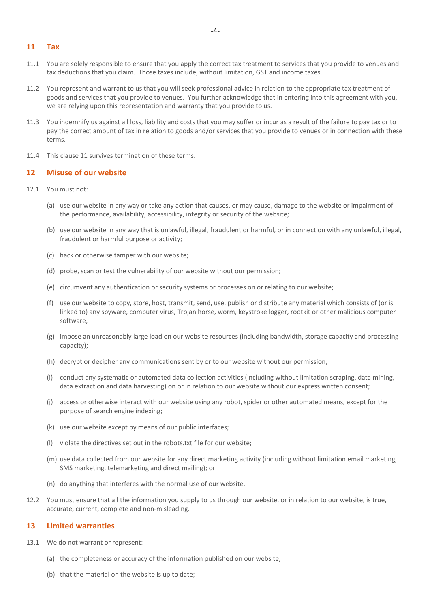- 11.1 You are solely responsible to ensure that you apply the correct tax treatment to services that you provide to venues and tax deductions that you claim. Those taxes include, without limitation, GST and income taxes.
- 11.2 You represent and warrant to us that you will seek professional advice in relation to the appropriate tax treatment of goods and services that you provide to venues. You further acknowledge that in entering into this agreement with you, we are relying upon this representation and warranty that you provide to us.
- 11.3 You indemnify us against all loss, liability and costs that you may suffer or incur as a result of the failure to pay tax or to pay the correct amount of tax in relation to goods and/or services that you provide to venues or in connection with these terms.
- 11.4 This clause 11 survives termination of these terms.

## **12 Misuse of our website**

- 12.1 You must not:
	- (a) use our website in any way or take any action that causes, or may cause, damage to the website or impairment of the performance, availability, accessibility, integrity or security of the website;
	- (b) use our website in any way that is unlawful, illegal, fraudulent or harmful, or in connection with any unlawful, illegal, fraudulent or harmful purpose or activity;
	- (c) hack or otherwise tamper with our website;
	- (d) probe, scan or test the vulnerability of our website without our permission;
	- (e) circumvent any authentication or security systems or processes on or relating to our website;
	- (f) use our website to copy, store, host, transmit, send, use, publish or distribute any material which consists of (or is linked to) any spyware, computer virus, Trojan horse, worm, keystroke logger, rootkit or other malicious computer software;
	- (g) impose an unreasonably large load on our website resources (including bandwidth, storage capacity and processing capacity);
	- (h) decrypt or decipher any communications sent by or to our website without our permission;
	- (i) conduct any systematic or automated data collection activities (including without limitation scraping, data mining, data extraction and data harvesting) on or in relation to our website without our express written consent;
	- (j) access or otherwise interact with our website using any robot, spider or other automated means, except for the purpose of search engine indexing;
	- (k) use our website except by means of our public interfaces;
	- (l) violate the directives set out in the robots.txt file for our website;
	- (m) use data collected from our website for any direct marketing activity (including without limitation email marketing, SMS marketing, telemarketing and direct mailing); or
	- (n) do anything that interferes with the normal use of our website.
- 12.2 You must ensure that all the information you supply to us through our website, or in relation to our website, is true, accurate, current, complete and non-misleading.

#### **13 Limited warranties**

- 13.1 We do not warrant or represent:
	- (a) the completeness or accuracy of the information published on our website;
	- (b) that the material on the website is up to date;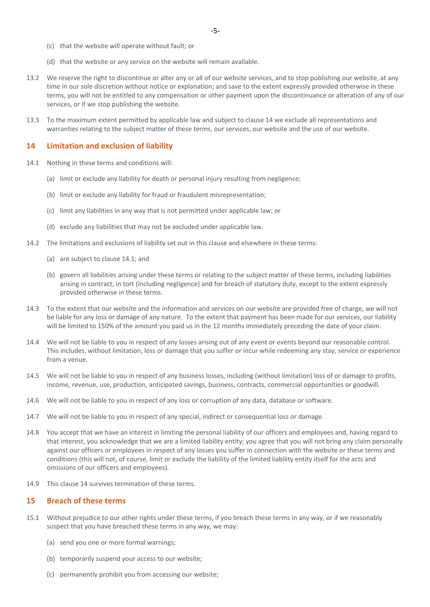- (c) that the website will operate without fault; or
- (d) that the website or any service on the website will remain available.
- 13.2 We reserve the right to discontinue or alter any or all of our website services, and to stop publishing our website, at any time in our sole discretion without notice or explanation; and save to the extent expressly provided otherwise in these terms, you will not be entitled to any compensation or other payment upon the discontinuance or alteration of any of our services, or if we stop publishing the website.
- 13.3 To the maximum extent permitted by applicable law and subject to clause 14 we exclude all representations and warranties relating to the subject matter of these terms, our services, our website and the use of our website.

## **14 Limitation and exclusion of liability**

- 14.1 Nothing in these terms and conditions will:
	- (a) limit or exclude any liability for death or personal injury resulting from negligence;
	- (b) limit or exclude any liability for fraud or fraudulent misrepresentation;
	- (c) limit any liabilities in any way that is not permitted under applicable law; or
	- (d) exclude any liabilities that may not be excluded under applicable law.
- 14.2 The limitations and exclusions of liability set out in this clause and elsewhere in these terms:
	- (a) are subject to clause 14.1; and
	- (b) govern all liabilities arising under these terms or relating to the subject matter of these terms, including liabilities arising in contract, in tort (including negligence) and for breach of statutory duty, except to the extent expressly provided otherwise in these terms.
- 14.3 To the extent that our website and the information and services on our website are provided free of charge, we will not be liable for any loss or damage of any nature. To the extent that payment has been made for our services, our liability will be limited to 150% of the amount you paid us in the 12 months immediately preceding the date of your claim.
- 14.4 We will not be liable to you in respect of any losses arising out of any event or events beyond our reasonable control. This includes, without limitation, loss or damage that you suffer or incur while redeeming any stay, service or experience from a venue.
- 14.5 We will not be liable to you in respect of any business losses, including (without limitation) loss of or damage to profits, income, revenue, use, production, anticipated savings, business, contracts, commercial opportunities or goodwill.
- 14.6 We will not be liable to you in respect of any loss or corruption of any data, database or software.
- 14.7 We will not be liable to you in respect of any special, indirect or consequential loss or damage.
- 14.8 You accept that we have an interest in limiting the personal liability of our officers and employees and, having regard to that interest, you acknowledge that we are a limited liability entity; you agree that you will not bring any claim personally against our officers or employees in respect of any losses you suffer in connection with the website or these terms and conditions (this will not, of course, limit or exclude the liability of the limited liability entity itself for the acts and omissions of our officers and employees).
- 14.9 This clause 14 survives termination of these terms.

#### **15 Breach of these terms**

- 15.1 Without prejudice to our other rights under these terms, if you breach these terms in any way, or if we reasonably suspect that you have breached these terms in any way, we may:
	- (a) send you one or more formal warnings;
	- (b) temporarily suspend your access to our website;
	- (c) permanently prohibit you from accessing our website;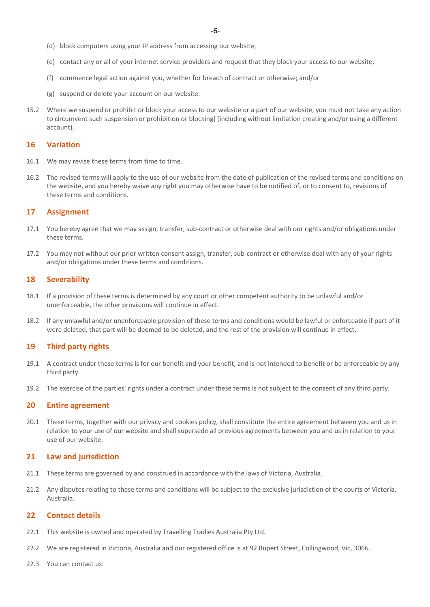- (d) block computers using your IP address from accessing our website;
- (e) contact any or all of your internet service providers and request that they block your access to our website;
- (f) commence legal action against you, whether for breach of contract or otherwise; and/or
- (g) suspend or delete your account on our website.
- 15.2 Where we suspend or prohibit or block your access to our website or a part of our website, you must not take any action to circumvent such suspension or prohibition or blocking[ (including without limitation creating and/or using a different account).

#### **16 Variation**

- 16.1 We may revise these terms from time to time.
- 16.2 The revised terms will apply to the use of our website from the date of publication of the revised terms and conditions on the website, and you hereby waive any right you may otherwise have to be notified of, or to consent to, revisions of these terms and conditions.

#### **17 Assignment**

- 17.1 You hereby agree that we may assign, transfer, sub-contract or otherwise deal with our rights and/or obligations under these terms.
- 17.2 You may not without our prior written consent assign, transfer, sub-contract or otherwise deal with any of your rights and/or obligations under these terms and conditions.

## **18 Severability**

- 18.1 If a provision of these terms is determined by any court or other competent authority to be unlawful and/or unenforceable, the other provisions will continue in effect.
- 18.2 If any unlawful and/or unenforceable provision of these terms and conditions would be lawful or enforceable if part of it were deleted, that part will be deemed to be deleted, and the rest of the provision will continue in effect.

## **19 Third party rights**

- 19.1 A contract under these terms is for our benefit and your benefit, and is not intended to benefit or be enforceable by any third party.
- 19.2 The exercise of the parties' rights under a contract under these terms is not subject to the consent of any third party.

#### **20 Entire agreement**

20.1 These terms, together with our privacy and cookies policy, shall constitute the entire agreement between you and us in relation to your use of our website and shall supersede all previous agreements between you and us in relation to your use of our website.

#### **21 Law and jurisdiction**

- 21.1 These terms are governed by and construed in accordance with the laws of Victoria, Australia.
- 21.2 Any disputes relating to these terms and conditions will be subject to the exclusive jurisdiction of the courts of Victoria, Australia.

## **22 Contact details**

- 22.1 This website is owned and operated by Travelling Tradies Australia Pty Ltd.
- 22.2 We are registered in Victoria, Australia and our registered office is at 92 Rupert Street, Collingwood, Vic, 3066.
- 22.3 You can contact us: